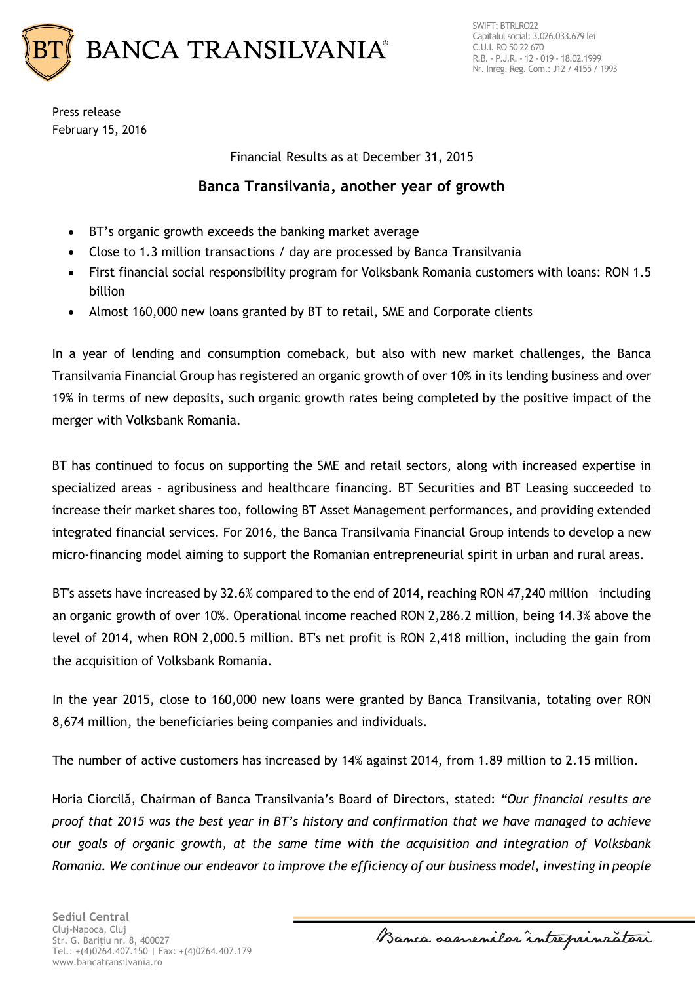

Press release February 15, 2016

Financial Results as at December 31, 2015

## **Banca Transilvania, another year of growth**

- BT's organic growth exceeds the banking market average
- Close to 1.3 million transactions / day are processed by Banca Transilvania
- First financial social responsibility program for Volksbank Romania customers with loans: RON 1.5 billion
- Almost 160,000 new loans granted by BT to retail, SME and Corporate clients

In a year of lending and consumption comeback, but also with new market challenges, the Banca Transilvania Financial Group has registered an organic growth of over 10% in its lending business and over 19% in terms of new deposits, such organic growth rates being completed by the positive impact of the merger with Volksbank Romania.

BT has continued to focus on supporting the SME and retail sectors, along with increased expertise in specialized areas – agribusiness and healthcare financing. BT Securities and BT Leasing succeeded to increase their market shares too, following BT Asset Management performances, and providing extended integrated financial services. For 2016, the Banca Transilvania Financial Group intends to develop a new micro-financing model aiming to support the Romanian entrepreneurial spirit in urban and rural areas.

BT's assets have increased by 32.6% compared to the end of 2014, reaching RON 47,240 million – including an organic growth of over 10%. Operational income reached RON 2,286.2 million, being 14.3% above the level of 2014, when RON 2,000.5 million. BT's net profit is RON 2,418 million, including the gain from the acquisition of Volksbank Romania.

In the year 2015, close to 160,000 new loans were granted by Banca Transilvania, totaling over RON 8,674 million, the beneficiaries being companies and individuals.

The number of active customers has increased by 14% against 2014, from 1.89 million to 2.15 million.

Horia Ciorcilă, Chairman of Banca Transilvania's Board of Directors, stated: *"Our financial results are proof that 2015 was the best year in BT's history and confirmation that we have managed to achieve our goals of organic growth, at the same time with the acquisition and integration of Volksbank Romania. We continue our endeavor to improve the efficiency of our business model, investing in people* 

Banca samenilar intreprinzatori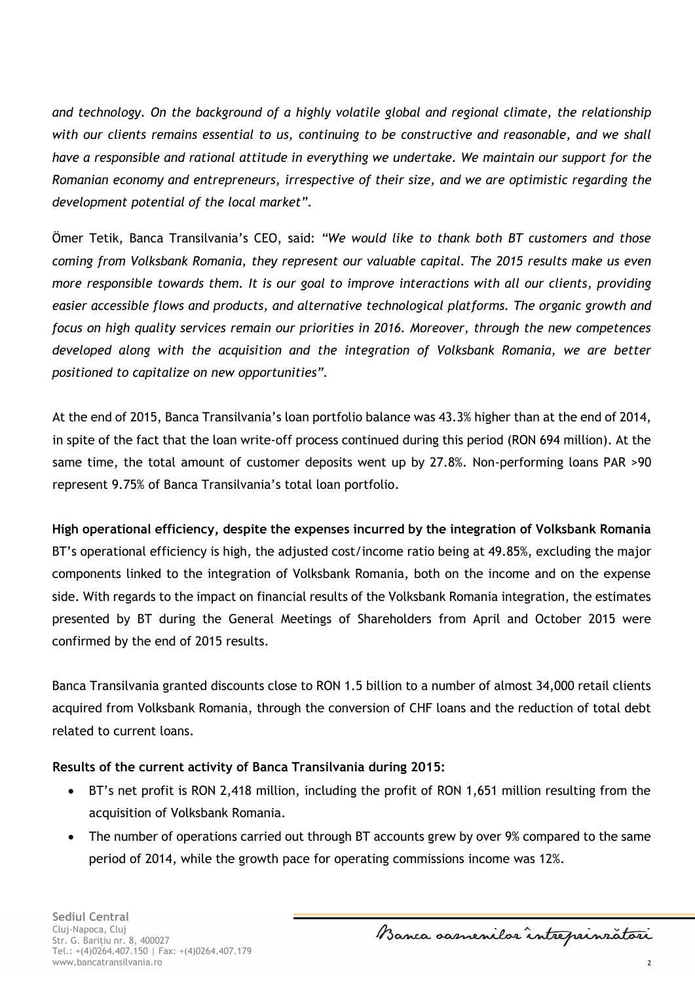*and technology. On the background of a highly volatile global and regional climate, the relationship with our clients remains essential to us, continuing to be constructive and reasonable, and we shall have a responsible and rational attitude in everything we undertake. We maintain our support for the Romanian economy and entrepreneurs, irrespective of their size, and we are optimistic regarding the development potential of the local market".*

Ömer Tetik, Banca Transilvania's CEO, said: *"We would like to thank both BT customers and those coming from Volksbank Romania, they represent our valuable capital. The 2015 results make us even more responsible towards them. It is our goal to improve interactions with all our clients, providing easier accessible flows and products, and alternative technological platforms. The organic growth and focus on high quality services remain our priorities in 2016. Moreover, through the new competences developed along with the acquisition and the integration of Volksbank Romania, we are better positioned to capitalize on new opportunities".*

At the end of 2015, Banca Transilvania's loan portfolio balance was 43.3% higher than at the end of 2014, in spite of the fact that the loan write-off process continued during this period (RON 694 million). At the same time, the total amount of customer deposits went up by 27.8%. Non-performing loans PAR >90 represent 9.75% of Banca Transilvania's total loan portfolio.

**High operational efficiency, despite the expenses incurred by the integration of Volksbank Romania** BT's operational efficiency is high, the adjusted cost/income ratio being at 49.85%, excluding the major components linked to the integration of Volksbank Romania, both on the income and on the expense side. With regards to the impact on financial results of the Volksbank Romania integration, the estimates presented by BT during the General Meetings of Shareholders from April and October 2015 were confirmed by the end of 2015 results.

Banca Transilvania granted discounts close to RON 1.5 billion to a number of almost 34,000 retail clients acquired from Volksbank Romania, through the conversion of CHF loans and the reduction of total debt related to current loans.

## **Results of the current activity of Banca Transilvania during 2015:**

- BT's net profit is RON 2,418 million, including the profit of RON 1,651 million resulting from the acquisition of Volksbank Romania.
- The number of operations carried out through BT accounts grew by over 9% compared to the same period of 2014, while the growth pace for operating commissions income was 12%.

Banca samenilar intreprinratori

2